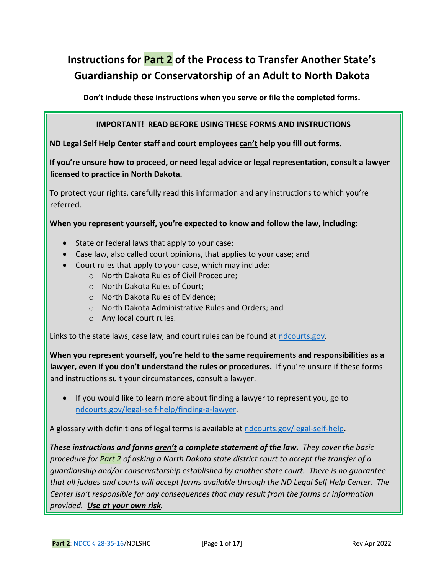# **Instructions for Part 2 of the Process to Transfer Another State's Guardianship or Conservatorship of an Adult to North Dakota**

**Don't include these instructions when you serve or file the completed forms.** 

#### **IMPORTANT! READ BEFORE USING THESE FORMS AND INSTRUCTIONS**

**ND Legal Self Help Center staff and court employees can't help you fill out forms.**

**If you're unsure how to proceed, or need legal advice or legal representation, consult a lawyer licensed to practice in North Dakota.**

To protect your rights, carefully read this information and any instructions to which you're referred.

**When you represent yourself, you're expected to know and follow the law, including:** 

- State or federal laws that apply to your case;
- Case law, also called court opinions, that applies to your case; and
- Court rules that apply to your case, which may include:
	- o North Dakota Rules of Civil Procedure;
	- o North Dakota Rules of Court;
	- o North Dakota Rules of Evidence;
	- o North Dakota Administrative Rules and Orders; and
	- o Any local court rules.

Links to the state laws, case law, and court rules can be found at [ndcourts.gov.](http://www.ndcourts.gov/)

**When you represent yourself, you're held to the same requirements and responsibilities as a lawyer, even if you don't understand the rules or procedures.** If you're unsure if these forms and instructions suit your circumstances, consult a lawyer.

• If you would like to learn more about finding a lawyer to represent you, go to [ndcourts.gov/legal-self-help/finding-a-lawyer.](https://www.ndcourts.gov/legal-self-help/finding-a-lawyer)

A glossary with definitions of legal terms is available at [ndcourts.gov/legal-self-help.](https://www.ndcourts.gov/legal-self-help)

*These instructions and forms aren't a complete statement of the law. They cover the basic procedure for Part 2 of asking a North Dakota state district court to accept the transfer of a guardianship and/or conservatorship established by another state court. There is no guarantee that all judges and courts will accept forms available through the ND Legal Self Help Center. The Center isn't responsible for any consequences that may result from the forms or information provided. Use at your own risk.*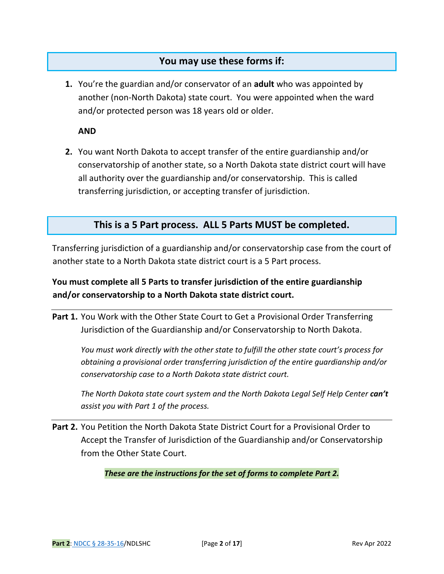### **You may use these forms if:**

**1.** You're the guardian and/or conservator of an **adult** who was appointed by another (non-North Dakota) state court. You were appointed when the ward and/or protected person was 18 years old or older.

**AND**

**2.** You want North Dakota to accept transfer of the entire guardianship and/or conservatorship of another state, so a North Dakota state district court will have all authority over the guardianship and/or conservatorship. This is called transferring jurisdiction, or accepting transfer of jurisdiction.

### **This is a 5 Part process. ALL 5 Parts MUST be completed.**

Transferring jurisdiction of a guardianship and/or conservatorship case from the court of another state to a North Dakota state district court is a 5 Part process.

### **You must complete all 5 Parts to transfer jurisdiction of the entire guardianship and/or conservatorship to a North Dakota state district court.**

**Part 1.** You Work with the Other State Court to Get a Provisional Order Transferring Jurisdiction of the Guardianship and/or Conservatorship to North Dakota.

*You must work directly with the other state to fulfill the other state court's process for obtaining a provisional order transferring jurisdiction of the entire guardianship and/or conservatorship case to a North Dakota state district court.*

*The North Dakota state court system and the North Dakota Legal Self Help Center can't assist you with Part 1 of the process.*

**Part 2.** You Petition the North Dakota State District Court for a Provisional Order to Accept the Transfer of Jurisdiction of the Guardianship and/or Conservatorship from the Other State Court.

*These are the instructions for the set of forms to complete Part 2.*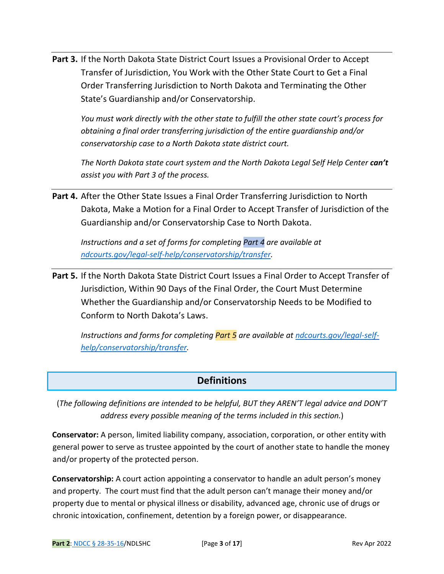**Part 3.** If the North Dakota State District Court Issues a Provisional Order to Accept Transfer of Jurisdiction, You Work with the Other State Court to Get a Final Order Transferring Jurisdiction to North Dakota and Terminating the Other State's Guardianship and/or Conservatorship.

*You must work directly with the other state to fulfill the other state court's process for obtaining a final order transferring jurisdiction of the entire guardianship and/or conservatorship case to a North Dakota state district court.*

*The North Dakota state court system and the North Dakota Legal Self Help Center can't assist you with Part 3 of the process.*

Part 4. After the Other State Issues a Final Order Transferring Jurisdiction to North Dakota, Make a Motion for a Final Order to Accept Transfer of Jurisdiction of the Guardianship and/or Conservatorship Case to North Dakota.

*Instructions and a set of forms for completing Part 4 are available at [ndcourts.gov/legal-self-help/conservatorship/transfer.](https://www.ndcourts.gov/legal-self-help/conservatorship/transfer)*

**Part 5.** If the North Dakota State District Court Issues a Final Order to Accept Transfer of Jurisdiction, Within 90 Days of the Final Order, the Court Must Determine Whether the Guardianship and/or Conservatorship Needs to be Modified to Conform to North Dakota's Laws.

*Instructions and forms for completing Part 5 are available at [ndcourts.gov/legal-self](https://www.ndcourts.gov/legal-self-help/conservatorship/transfer)[help/conservatorship/transfer.](https://www.ndcourts.gov/legal-self-help/conservatorship/transfer)*

### **Definitions**

(*The following definitions are intended to be helpful, BUT they AREN'T legal advice and DON'T address every possible meaning of the terms included in this section.*)

**Conservator:** A person, limited liability company, association, corporation, or other entity with general power to serve as trustee appointed by the court of another state to handle the money and/or property of the protected person.

**Conservatorship:** A court action appointing a conservator to handle an adult person's money and property. The court must find that the adult person can't manage their money and/or property due to mental or physical illness or disability, advanced age, chronic use of drugs or chronic intoxication, confinement, detention by a foreign power, or disappearance.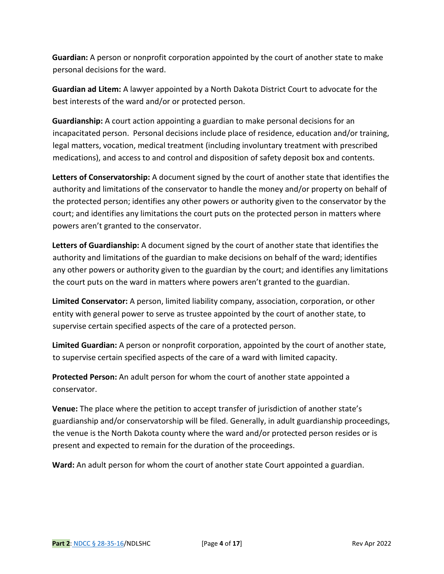**Guardian:** A person or nonprofit corporation appointed by the court of another state to make personal decisions for the ward.

**Guardian ad Litem:** A lawyer appointed by a North Dakota District Court to advocate for the best interests of the ward and/or or protected person.

**Guardianship:** A court action appointing a guardian to make personal decisions for an incapacitated person. Personal decisions include place of residence, education and/or training, legal matters, vocation, medical treatment (including involuntary treatment with prescribed medications), and access to and control and disposition of safety deposit box and contents.

**Letters of Conservatorship:** A document signed by the court of another state that identifies the authority and limitations of the conservator to handle the money and/or property on behalf of the protected person; identifies any other powers or authority given to the conservator by the court; and identifies any limitations the court puts on the protected person in matters where powers aren't granted to the conservator.

**Letters of Guardianship:** A document signed by the court of another state that identifies the authority and limitations of the guardian to make decisions on behalf of the ward; identifies any other powers or authority given to the guardian by the court; and identifies any limitations the court puts on the ward in matters where powers aren't granted to the guardian.

**Limited Conservator:** A person, limited liability company, association, corporation, or other entity with general power to serve as trustee appointed by the court of another state, to supervise certain specified aspects of the care of a protected person.

**Limited Guardian:** A person or nonprofit corporation, appointed by the court of another state, to supervise certain specified aspects of the care of a ward with limited capacity.

**Protected Person:** An adult person for whom the court of another state appointed a conservator.

**Venue:** The place where the petition to accept transfer of jurisdiction of another state's guardianship and/or conservatorship will be filed. Generally, in adult guardianship proceedings, the venue is the North Dakota county where the ward and/or protected person resides or is present and expected to remain for the duration of the proceedings.

**Ward:** An adult person for whom the court of another state Court appointed a guardian.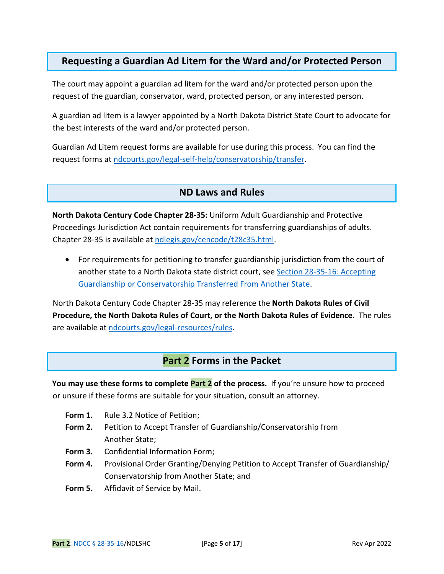### **Requesting a Guardian Ad Litem for the Ward and/or Protected Person**

The court may appoint a guardian ad litem for the ward and/or protected person upon the request of the guardian, conservator, ward, protected person, or any interested person.

A guardian ad litem is a lawyer appointed by a North Dakota District State Court to advocate for the best interests of the ward and/or protected person.

Guardian Ad Litem request forms are available for use during this process. You can find the request forms at [ndcourts.gov/legal-self-help/conservatorship/transfer.](https://www.ndcourts.gov/legal-self-help/conservatorship/transfer)

### **ND Laws and Rules**

**North Dakota Century Code Chapter 28-35:** Uniform Adult Guardianship and Protective Proceedings Jurisdiction Act contain requirements for transferring guardianships of adults. Chapter 28-35 is available a[t ndlegis.gov/cencode/t28c35.html.](https://ndlegis.gov/cencode/t28c35.html)

• For requirements for petitioning to transfer guardianship jurisdiction from the court of another state to a North Dakota state district court, se[e Section 28-35-16: Accepting](https://ndlegis.gov/cencode/t28c35.pdf#nameddest=28-35-16) [Guardianship or Conservatorship Transferred From](https://ndlegis.gov/cencode/t28c35.pdf#nameddest=28-35-16) Another State.

North Dakota Century Code Chapter 28-35 may reference the **North Dakota Rules of Civil Procedure, the North Dakota Rules of Court, or the North Dakota Rules of Evidence.** The rules are available at [ndcourts.gov/legal-resources/rules.](https://www.ndcourts.gov/legal-resources/rules)

### **Part 2 Forms in the Packet**

**You may use these forms to complete Part 2 of the process.** If you're unsure how to proceed or unsure if these forms are suitable for your situation, consult an attorney.

- **Form 1.** Rule 3.2 Notice of Petition;
- **Form 2.** Petition to Accept Transfer of Guardianship/Conservatorship from Another State;
- **Form 3.** Confidential Information Form;
- **Form 4.** Provisional Order Granting/Denying Petition to Accept Transfer of Guardianship/ Conservatorship from Another State; and
- **Form 5.** Affidavit of Service by Mail.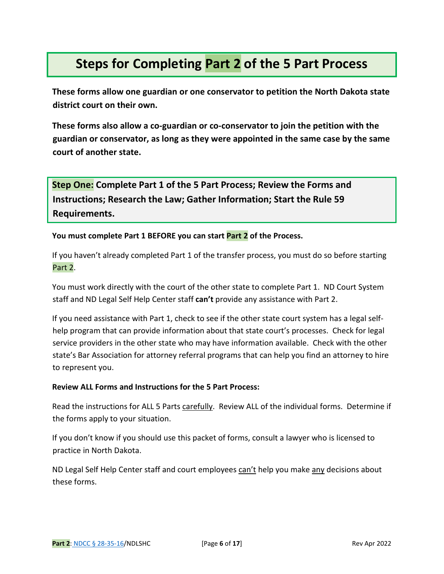# **Steps for Completing Part 2 of the 5 Part Process**

**These forms allow one guardian or one conservator to petition the North Dakota state district court on their own.**

**These forms also allow a co-guardian or co-conservator to join the petition with the guardian or conservator, as long as they were appointed in the same case by the same court of another state.** 

**Step One: Complete Part 1 of the 5 Part Process; Review the Forms and Instructions; Research the Law; Gather Information; Start the Rule 59 Requirements.** 

**You must complete Part 1 BEFORE you can start Part 2 of the Process.**

If you haven't already completed Part 1 of the transfer process, you must do so before starting Part 2.

You must work directly with the court of the other state to complete Part 1. ND Court System staff and ND Legal Self Help Center staff **can't** provide any assistance with Part 2.

If you need assistance with Part 1, check to see if the other state court system has a legal selfhelp program that can provide information about that state court's processes. Check for legal service providers in the other state who may have information available. Check with the other state's Bar Association for attorney referral programs that can help you find an attorney to hire to represent you.

### **Review ALL Forms and Instructions for the 5 Part Process:**

Read the instructions for ALL 5 Parts carefully. Review ALL of the individual forms. Determine if the forms apply to your situation.

If you don't know if you should use this packet of forms, consult a lawyer who is licensed to practice in North Dakota.

ND Legal Self Help Center staff and court employees can't help you make any decisions about these forms.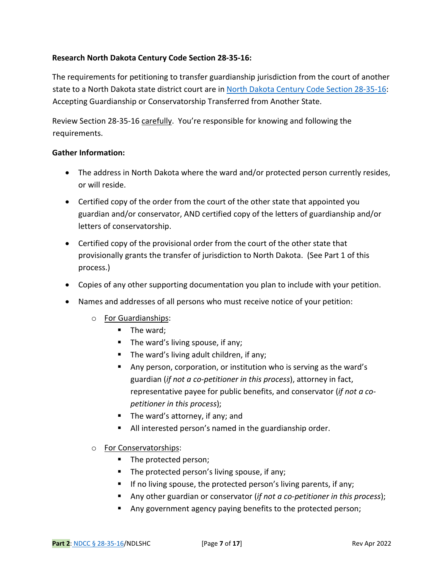### **Research North Dakota Century Code Section 28-35-16:**

The requirements for petitioning to transfer guardianship jurisdiction from the court of another state to a North Dakota state district court are in [North Dakota Century Code Section 28-35-16:](https://ndlegis.gov/cencode/t28c35.pdf#nameddest=28-35-16) Accepting Guardianship or Conservatorship Transferred from Another State.

Review Section 28-35-16 carefully. You're responsible for knowing and following the requirements.

### **Gather Information:**

- The address in North Dakota where the ward and/or protected person currently resides, or will reside.
- Certified copy of the order from the court of the other state that appointed you guardian and/or conservator, AND certified copy of the letters of guardianship and/or letters of conservatorship.
- Certified copy of the provisional order from the court of the other state that provisionally grants the transfer of jurisdiction to North Dakota. (See Part 1 of this process.)
- Copies of any other supporting documentation you plan to include with your petition.
- Names and addresses of all persons who must receive notice of your petition:
	- o For Guardianships:
		- $\blacksquare$  The ward;
		- The ward's living spouse, if any;
		- The ward's living adult children, if any;
		- Any person, corporation, or institution who is serving as the ward's guardian (*if not a co-petitioner in this process*), attorney in fact, representative payee for public benefits, and conservator (*if not a copetitioner in this process*);
		- The ward's attorney, if any; and
		- All interested person's named in the guardianship order.
	- o For Conservatorships:
		- The protected person;
		- $\blacksquare$  The protected person's living spouse, if any;
		- If no living spouse, the protected person's living parents, if any;
		- Any other guardian or conservator (*if not a co-petitioner in this process*);
		- Any government agency paying benefits to the protected person;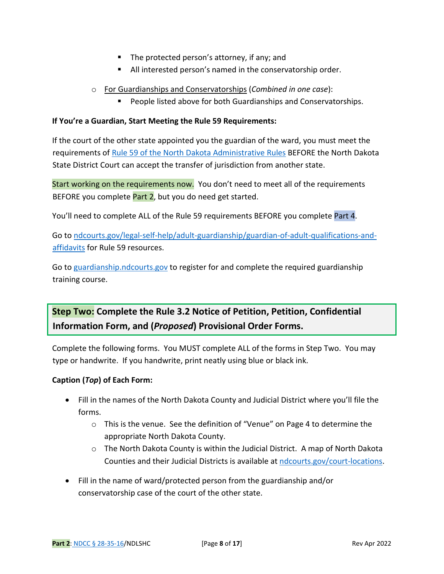- The protected person's attorney, if any; and
- All interested person's named in the conservatorship order.
- o For Guardianships and Conservatorships (*Combined in one case*):
	- People listed above for both Guardianships and Conservatorships.

#### **If You're a Guardian, Start Meeting the Rule 59 Requirements:**

If the court of the other state appointed you the guardian of the ward, you must meet the requirements of [Rule 59 of the North Dakota Administrative Rules](https://www.ndcourts.gov/legal-resources/rules/ndsupctadminr/59) BEFORE the North Dakota State District Court can accept the transfer of jurisdiction from another state.

Start working on the requirements now. You don't need to meet all of the requirements BEFORE you complete Part 2, but you do need get started.

You'll need to complete ALL of the Rule 59 requirements BEFORE you complete Part 4.

Go t[o ndcourts.gov/legal-self-help/adult-guardianship/guardian-of-adult-qualifications-and](https://www.ndcourts.gov/legal-self-help/adult-guardianship/guardian-of-adult-qualifications-and-affidavits)[affidavits](https://www.ndcourts.gov/legal-self-help/adult-guardianship/guardian-of-adult-qualifications-and-affidavits) for Rule 59 resources.

Go t[o guardianship.ndcourts.gov](https://guardianship.ndcourts.gov/) to register for and complete the required guardianship training course.

**Step Two: Complete the Rule 3.2 Notice of Petition, Petition, Confidential Information Form, and (***Proposed***) Provisional Order Forms.** 

Complete the following forms. You MUST complete ALL of the forms in Step Two. You may type or handwrite. If you handwrite, print neatly using blue or black ink.

### **Caption (***Top***) of Each Form:**

- Fill in the names of the North Dakota County and Judicial District where you'll file the forms.
	- o This is the venue. See the definition of "Venue" on Page 4 to determine the appropriate North Dakota County.
	- o The North Dakota County is within the Judicial District. A map of North Dakota Counties and their Judicial Districts is available at [ndcourts.gov/court-locations.](https://www.ndcourts.gov/court-locations)
- Fill in the name of ward/protected person from the guardianship and/or conservatorship case of the court of the other state.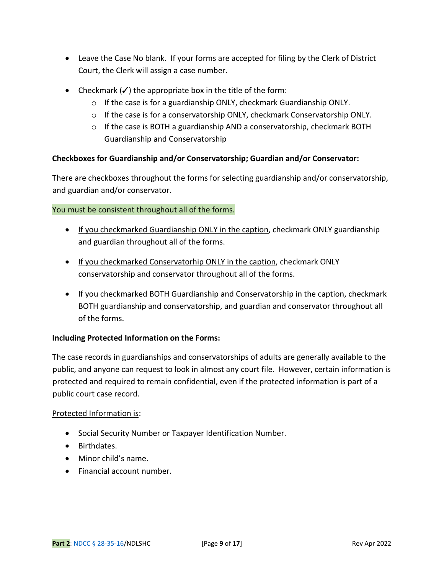- Leave the Case No blank. If your forms are accepted for filing by the Clerk of District Court, the Clerk will assign a case number.
- Checkmark  $(\checkmark)$  the appropriate box in the title of the form:
	- $\circ$  If the case is for a guardianship ONLY, checkmark Guardianship ONLY.
	- $\circ$  If the case is for a conservatorship ONLY, checkmark Conservatorship ONLY.
	- o If the case is BOTH a guardianship AND a conservatorship, checkmark BOTH Guardianship and Conservatorship

### **Checkboxes for Guardianship and/or Conservatorship; Guardian and/or Conservator:**

There are checkboxes throughout the forms for selecting guardianship and/or conservatorship, and guardian and/or conservator.

### You must be consistent throughout all of the forms.

- If you checkmarked Guardianship ONLY in the caption, checkmark ONLY guardianship and guardian throughout all of the forms.
- If you checkmarked Conservatorhip ONLY in the caption, checkmark ONLY conservatorship and conservator throughout all of the forms.
- If you checkmarked BOTH Guardianship and Conservatorship in the caption, checkmark BOTH guardianship and conservatorship, and guardian and conservator throughout all of the forms.

### **Including Protected Information on the Forms:**

The case records in guardianships and conservatorships of adults are generally available to the public, and anyone can request to look in almost any court file. However, certain information is protected and required to remain confidential, even if the protected information is part of a public court case record.

### Protected Information is:

- Social Security Number or Taxpayer Identification Number.
- Birthdates.
- Minor child's name.
- Financial account number.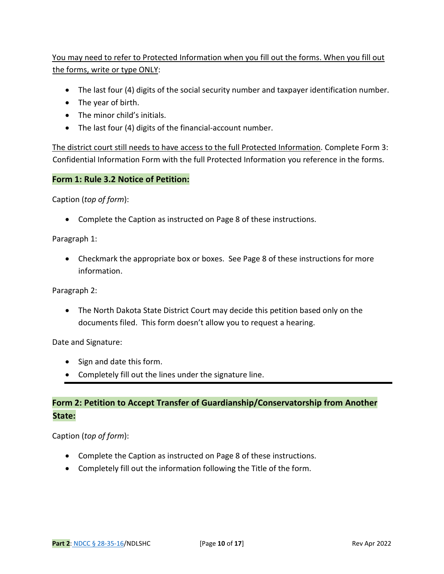### You may need to refer to Protected Information when you fill out the forms. When you fill out the forms, write or type ONLY:

- The last four (4) digits of the social security number and taxpayer identification number.
- The year of birth.
- The minor child's initials.
- The last four (4) digits of the financial-account number.

The district court still needs to have access to the full Protected Information. Complete Form 3: Confidential Information Form with the full Protected Information you reference in the forms.

### **Form 1: Rule 3.2 Notice of Petition:**

Caption (*top of form*):

• Complete the Caption as instructed on Page 8 of these instructions.

Paragraph 1:

• Checkmark the appropriate box or boxes. See Page 8 of these instructions for more information.

Paragraph 2:

• The North Dakota State District Court may decide this petition based only on the documents filed. This form doesn't allow you to request a hearing.

Date and Signature:

- Sign and date this form.
- Completely fill out the lines under the signature line.

### **Form 2: Petition to Accept Transfer of Guardianship/Conservatorship from Another State:**

Caption (*top of form*):

- Complete the Caption as instructed on Page 8 of these instructions.
- Completely fill out the information following the Title of the form.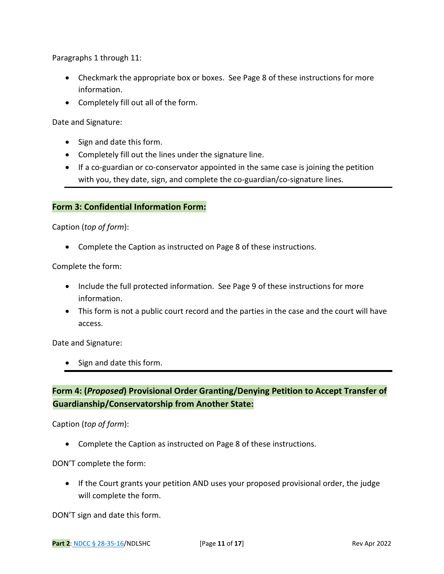Paragraphs 1 through 11:

- Checkmark the appropriate box or boxes. See Page 8 of these instructions for more information.
- Completely fill out all of the form.

Date and Signature:

- Sign and date this form.
- Completely fill out the lines under the signature line.
- If a co-guardian or co-conservator appointed in the same case is joining the petition with you, they date, sign, and complete the co-guardian/co-signature lines.

### **Form 3: Confidential Information Form:**

Caption (*top of form*):

• Complete the Caption as instructed on Page 8 of these instructions.

Complete the form:

- Include the full protected information. See Page 9 of these instructions for more information.
- This form is not a public court record and the parties in the case and the court will have access.

Date and Signature:

• Sign and date this form.

### **Form 4: (***Proposed***) Provisional Order Granting/Denying Petition to Accept Transfer of Guardianship/Conservatorship from Another State:**

Caption (*top of form*):

• Complete the Caption as instructed on Page 8 of these instructions.

DON'T complete the form:

• If the Court grants your petition AND uses your proposed provisional order, the judge will complete the form.

DON'T sign and date this form.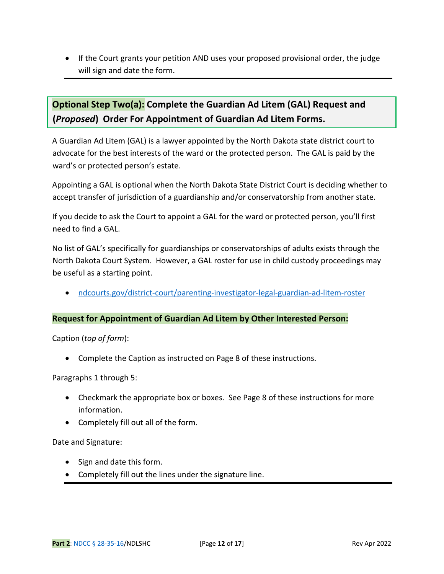• If the Court grants your petition AND uses your proposed provisional order, the judge will sign and date the form.

# **Optional Step Two(a): Complete the Guardian Ad Litem (GAL) Request and (***Proposed***) Order For Appointment of Guardian Ad Litem Forms.**

A Guardian Ad Litem (GAL) is a lawyer appointed by the North Dakota state district court to advocate for the best interests of the ward or the protected person. The GAL is paid by the ward's or protected person's estate.

Appointing a GAL is optional when the North Dakota State District Court is deciding whether to accept transfer of jurisdiction of a guardianship and/or conservatorship from another state.

If you decide to ask the Court to appoint a GAL for the ward or protected person, you'll first need to find a GAL.

No list of GAL's specifically for guardianships or conservatorships of adults exists through the North Dakota Court System. However, a GAL roster for use in child custody proceedings may be useful as a starting point.

• [ndcourts.gov/district-court/parenting-investigator-legal-guardian-ad-litem-roster](https://www.ndcourts.gov/district-court/parenting-investigator-legal-guardian-ad-litem-roster)

### **Request for Appointment of Guardian Ad Litem by Other Interested Person:**

Caption (*top of form*):

• Complete the Caption as instructed on Page 8 of these instructions.

Paragraphs 1 through 5:

- Checkmark the appropriate box or boxes. See Page 8 of these instructions for more information.
- Completely fill out all of the form.

Date and Signature:

- Sign and date this form.
- Completely fill out the lines under the signature line.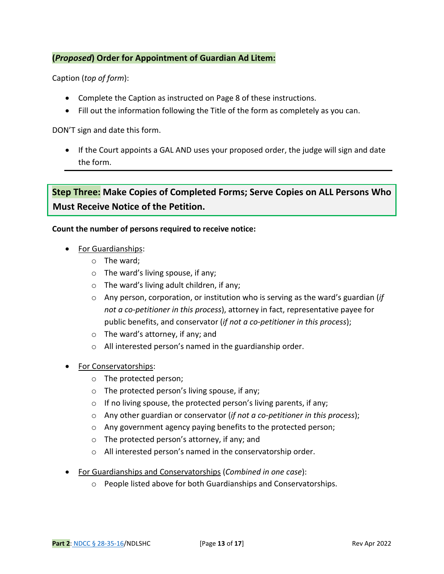### **(***Proposed***) Order for Appointment of Guardian Ad Litem:**

Caption (*top of form*):

- Complete the Caption as instructed on Page 8 of these instructions.
- Fill out the information following the Title of the form as completely as you can.

DON'T sign and date this form.

• If the Court appoints a GAL AND uses your proposed order, the judge will sign and date the form.

## **Step Three: Make Copies of Completed Forms; Serve Copies on ALL Persons Who Must Receive Notice of the Petition.**

### **Count the number of persons required to receive notice:**

- For Guardianships:
	- o The ward;
	- o The ward's living spouse, if any;
	- o The ward's living adult children, if any;
	- o Any person, corporation, or institution who is serving as the ward's guardian (*if not a co-petitioner in this process*), attorney in fact, representative payee for public benefits, and conservator (*if not a co-petitioner in this process*);
	- o The ward's attorney, if any; and
	- o All interested person's named in the guardianship order.
- For Conservatorships:
	- o The protected person;
	- o The protected person's living spouse, if any;
	- $\circ$  If no living spouse, the protected person's living parents, if any;
	- o Any other guardian or conservator (*if not a co-petitioner in this process*);
	- o Any government agency paying benefits to the protected person;
	- o The protected person's attorney, if any; and
	- o All interested person's named in the conservatorship order.
- For Guardianships and Conservatorships (*Combined in one case*):
	- o People listed above for both Guardianships and Conservatorships.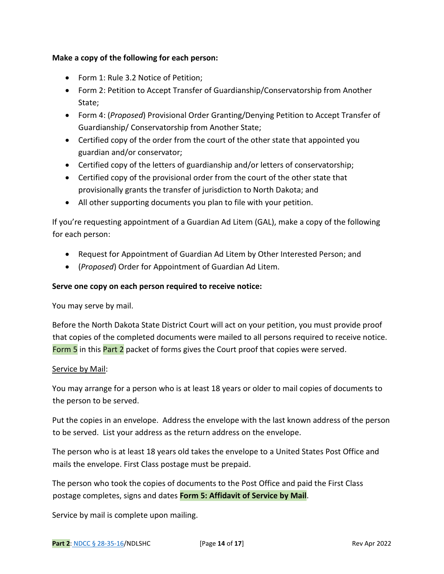### **Make a copy of the following for each person:**

- Form 1: Rule 3.2 Notice of Petition;
- Form 2: Petition to Accept Transfer of Guardianship/Conservatorship from Another State;
- Form 4: (*Proposed*) Provisional Order Granting/Denying Petition to Accept Transfer of Guardianship/ Conservatorship from Another State;
- Certified copy of the order from the court of the other state that appointed you guardian and/or conservator;
- Certified copy of the letters of guardianship and/or letters of conservatorship;
- Certified copy of the provisional order from the court of the other state that provisionally grants the transfer of jurisdiction to North Dakota; and
- All other supporting documents you plan to file with your petition.

If you're requesting appointment of a Guardian Ad Litem (GAL), make a copy of the following for each person:

- Request for Appointment of Guardian Ad Litem by Other Interested Person; and
- (*Proposed*) Order for Appointment of Guardian Ad Litem.

### **Serve one copy on each person required to receive notice:**

You may serve by mail.

Before the North Dakota State District Court will act on your petition, you must provide proof that copies of the completed documents were mailed to all persons required to receive notice. Form 5 in this Part 2 packet of forms gives the Court proof that copies were served.

### Service by Mail:

You may arrange for a person who is at least 18 years or older to mail copies of documents to the person to be served.

Put the copies in an envelope. Address the envelope with the last known address of the person to be served. List your address as the return address on the envelope.

The person who is at least 18 years old takes the envelope to a United States Post Office and mails the envelope. First Class postage must be prepaid.

The person who took the copies of documents to the Post Office and paid the First Class postage completes, signs and dates **Form 5: Affidavit of Service by Mail**.

Service by mail is complete upon mailing.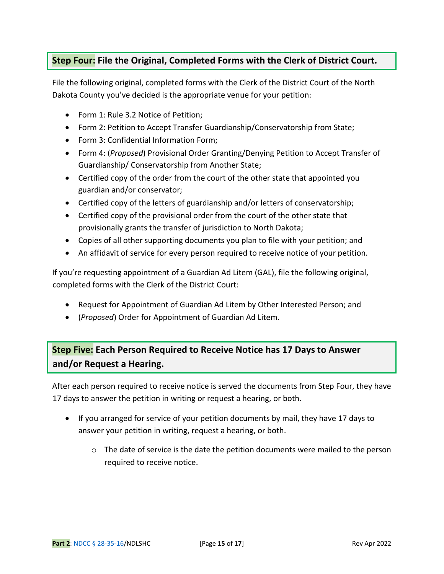### **Step Four: File the Original, Completed Forms with the Clerk of District Court.**

File the following original, completed forms with the Clerk of the District Court of the North Dakota County you've decided is the appropriate venue for your petition:

- Form 1: Rule 3.2 Notice of Petition;
- Form 2: Petition to Accept Transfer Guardianship/Conservatorship from State;
- Form 3: Confidential Information Form;
- Form 4: (*Proposed*) Provisional Order Granting/Denying Petition to Accept Transfer of Guardianship/ Conservatorship from Another State;
- Certified copy of the order from the court of the other state that appointed you guardian and/or conservator;
- Certified copy of the letters of guardianship and/or letters of conservatorship;
- Certified copy of the provisional order from the court of the other state that provisionally grants the transfer of jurisdiction to North Dakota;
- Copies of all other supporting documents you plan to file with your petition; and
- An affidavit of service for every person required to receive notice of your petition.

If you're requesting appointment of a Guardian Ad Litem (GAL), file the following original, completed forms with the Clerk of the District Court:

- Request for Appointment of Guardian Ad Litem by Other Interested Person; and
- (*Proposed*) Order for Appointment of Guardian Ad Litem.

# **Step Five: Each Person Required to Receive Notice has 17 Days to Answer and/or Request a Hearing.**

After each person required to receive notice is served the documents from Step Four, they have 17 days to answer the petition in writing or request a hearing, or both.

- If you arranged for service of your petition documents by mail, they have 17 days to answer your petition in writing, request a hearing, or both.
	- o The date of service is the date the petition documents were mailed to the person required to receive notice.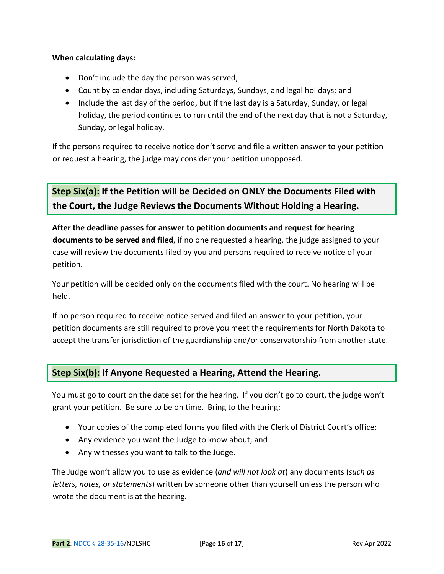### **When calculating days:**

- Don't include the day the person was served;
- Count by calendar days, including Saturdays, Sundays, and legal holidays; and
- Include the last day of the period, but if the last day is a Saturday, Sunday, or legal holiday, the period continues to run until the end of the next day that is not a Saturday, Sunday, or legal holiday.

If the persons required to receive notice don't serve and file a written answer to your petition or request a hearing, the judge may consider your petition unopposed.

**Step Six(a): If the Petition will be Decided on ONLY the Documents Filed with the Court, the Judge Reviews the Documents Without Holding a Hearing.** 

**After the deadline passes for answer to petition documents and request for hearing documents to be served and filed**, if no one requested a hearing, the judge assigned to your case will review the documents filed by you and persons required to receive notice of your petition.

Your petition will be decided only on the documents filed with the court. No hearing will be held.

If no person required to receive notice served and filed an answer to your petition, your petition documents are still required to prove you meet the requirements for North Dakota to accept the transfer jurisdiction of the guardianship and/or conservatorship from another state.

### **Step Six(b): If Anyone Requested a Hearing, Attend the Hearing.**

You must go to court on the date set for the hearing. If you don't go to court, the judge won't grant your petition. Be sure to be on time. Bring to the hearing:

- Your copies of the completed forms you filed with the Clerk of District Court's office;
- Any evidence you want the Judge to know about; and
- Any witnesses you want to talk to the Judge.

The Judge won't allow you to use as evidence (*and will not look at*) any documents (*such as letters, notes, or statements*) written by someone other than yourself unless the person who wrote the document is at the hearing.